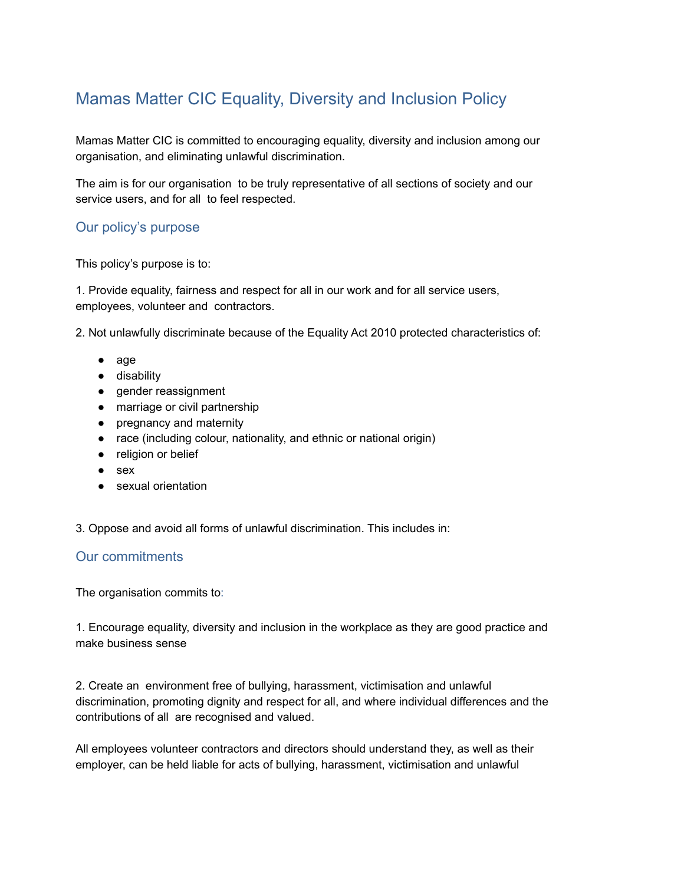## Mamas Matter CIC Equality, Diversity and Inclusion Policy

Mamas Matter CIC is committed to encouraging equality, diversity and inclusion among our organisation, and eliminating unlawful discrimination.

The aim is for our organisation to be truly representative of all sections of society and our service users, and for all to feel respected.

## Our policy's purpose

This policy's purpose is to:

1. Provide equality, fairness and respect for all in our work and for all service users, employees, volunteer and contractors.

2. Not unlawfully discriminate because of the Equality Act 2010 protected characteristics of:

- age
- disability
- gender reassignment
- marriage or civil partnership
- pregnancy and maternity
- race (including colour, nationality, and ethnic or national origin)
- religion or belief
- sex
- sexual orientation

3. Oppose and avoid all forms of unlawful discrimination. This includes in:

## Our commitments

The organisation commits to:

1. Encourage equality, diversity and inclusion in the workplace as they are good practice and make business sense

2. Create an environment free of bullying, harassment, victimisation and unlawful discrimination, promoting dignity and respect for all, and where individual differences and the contributions of all are recognised and valued.

All employees volunteer contractors and directors should understand they, as well as their employer, can be held liable for acts of bullying, harassment, victimisation and unlawful